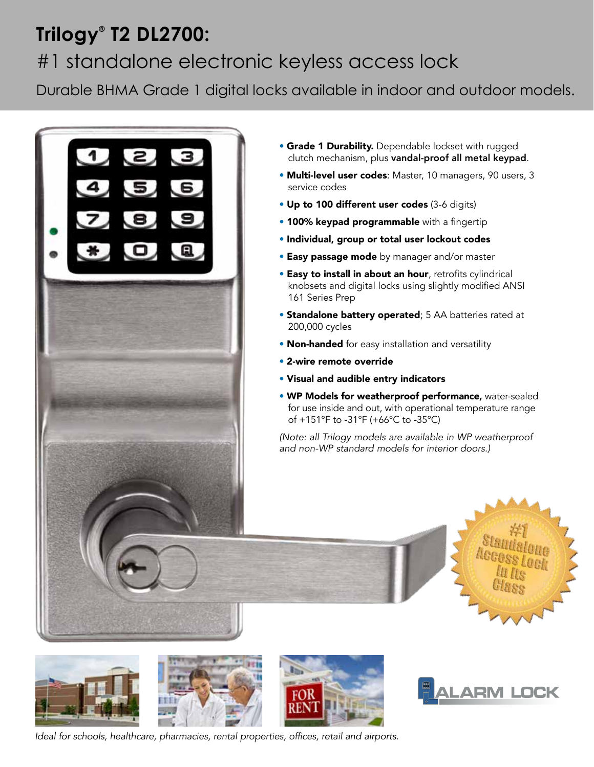## **Trilogy® T2 DL2700:**  #1 standalone electronic keyless access lock

Durable BHMA Grade 1 digital locks available in indoor and outdoor models.



- **Grade 1 Durability.** Dependable lockset with rugged clutch mechanism, plus vandal-proof all metal keypad.
- Multi-level user codes: Master, 10 managers, 90 users, 3 service codes
- Up to 100 different user codes (3-6 digits)
- 100% keypad programmable with a fingertip
- Individual, group or total user lockout codes
- **Easy passage mode** by manager and/or master
- Easy to install in about an hour, retrofits cylindrical knobsets and digital locks using slightly modified ANSI 161 Series Prep
- Standalone battery operated; 5 AA batteries rated at 200,000 cycles
- Non-handed for easy installation and versatility
- 2-wire remote override
- Visual and audible entry indicators
- WP Models for weatherproof performance, water-sealed for use inside and out, with operational temperature range of +151°F to -31°F (+66°C to -35°C)

*(Note: all Trilogy models are available in WP weatherproof and non-WP standard models for interior doors.)*



**LARM LOCK**